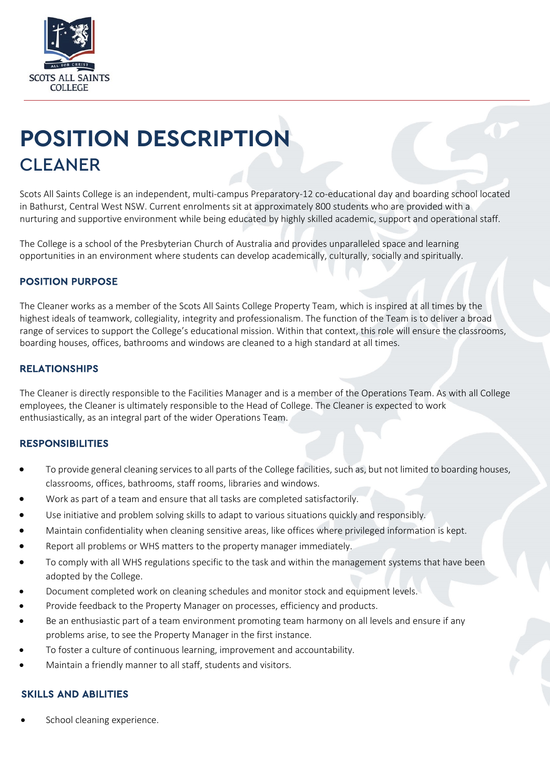

# **POSITION DESCRIPTION** CLEANER

Scots All Saints College is an independent, multi-campus Preparatory-12 co-educational day and boarding school located in Bathurst, Central West NSW. Current enrolments sit at approximately 800 students who are provided with a nurturing and supportive environment while being educated by highly skilled academic, support and operational staff.

The College is a school of the Presbyterian Church of Australia and provides unparalleled space and learning opportunities in an environment where students can develop academically, culturally, socially and spiritually.

# POSITION PURPOSE

The Cleaner works as a member of the Scots All Saints College Property Team, which is inspired at all times by the highest ideals of teamwork, collegiality, integrity and professionalism. The function of the Team is to deliver a broad range of services to support the College's educational mission. Within that context, this role will ensure the classrooms, boarding houses, offices, bathrooms and windows are cleaned to a high standard at all times.

#### RELATIONSHIPS

The Cleaner is directly responsible to the Facilities Manager and is a member of the Operations Team. As with all College employees, the Cleaner is ultimately responsible to the Head of College. The Cleaner is expected to work enthusiastically, as an integral part of the wider Operations Team.

#### **RESPONSIBILITIES**

- To provide general cleaning services to all parts of the College facilities, such as, but not limited to boarding houses, classrooms, offices, bathrooms, staff rooms, libraries and windows.
- Work as part of a team and ensure that all tasks are completed satisfactorily.
- Use initiative and problem solving skills to adapt to various situations quickly and responsibly.
- Maintain confidentiality when cleaning sensitive areas, like offices where privileged information is kept.
- Report all problems or WHS matters to the property manager immediately.
- To comply with all WHS regulations specific to the task and within the management systems that have been adopted by the College.
- Document completed work on cleaning schedules and monitor stock and equipment levels.
- Provide feedback to the Property Manager on processes, efficiency and products.
- Be an enthusiastic part of a team environment promoting team harmony on all levels and ensure if any problems arise, to see the Property Manager in the first instance.
- To foster a culture of continuous learning, improvement and accountability.
- Maintain a friendly manner to all staff, students and visitors.

#### SKILLS AND ABILITIES

School cleaning experience.